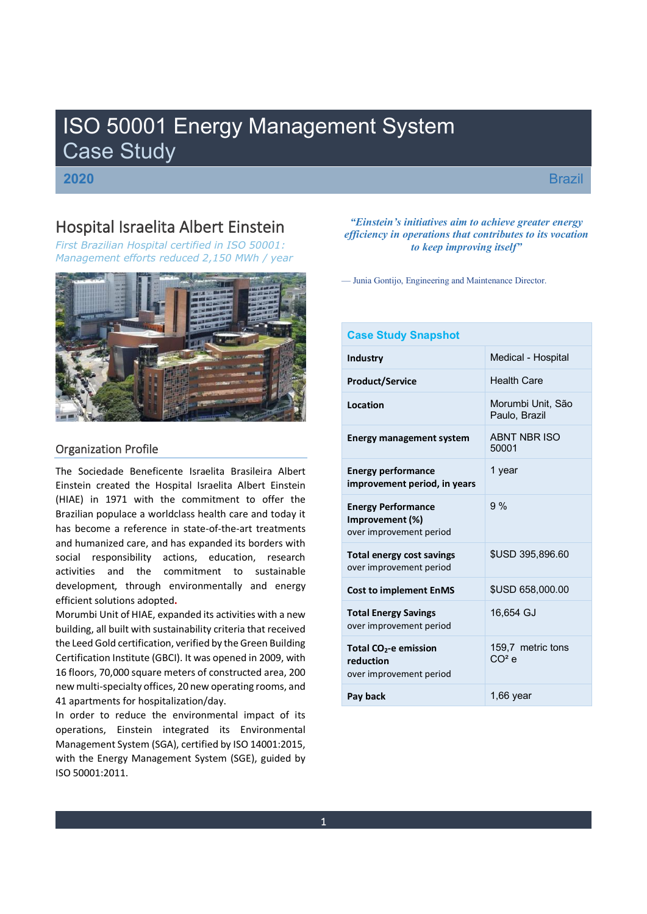# ISO 50001 Energy Management System Case Study

**2020**

**Brazil** 

# Hospital Israelita Albert Einstein

*First Brazilian Hospital certified in ISO 50001: Management efforts reduced 2,150 MWh / year* 



# Organization Profile

The Sociedade Beneficente Israelita Brasileira Albert Einstein created the Hospital Israelita Albert Einstein (HIAE) in 1971 with the commitment to offer the Brazilian populace a worldclass health care and today it has become a reference in state-of-the-art treatments and humanized care, and has expanded its borders with social responsibility actions, education, research activities and the commitment to sustainable development, through environmentally and energy efficient solutions adopted**.**

Morumbi Unit of HIAE, expanded its activities with a new building, all built with sustainability criteria that received the Leed Gold certification, verified by the Green Building Certification Institute (GBCI). It was opened in 2009, with 16 floors, 70,000 square meters of constructed area, 200 new multi-specialty offices, 20 new operating rooms, and 41 apartments for hospitalization/day.

In order to reduce the environmental impact of its operations, Einstein integrated its Environmental Management System (SGA), certified by ISO 14001:2015, with the Energy Management System (SGE), guided by ISO 50001:2011.

# *<i><u>Einstein's initiatives aim to achieve greater energy*</u> *efficiency in operations that contributes to its vocation to keep improving itself*"

— Junia Gontijo, Engineering and Maintenance Director.

# **Case Study Snapshot**

| <b>Industry</b>                                                           | Medical - Hospital                      |
|---------------------------------------------------------------------------|-----------------------------------------|
| <b>Product/Service</b>                                                    | <b>Health Care</b>                      |
| Location                                                                  | Morumbi Unit, São<br>Paulo, Brazil      |
| <b>Energy management system</b>                                           | ABNT NBR ISO<br>50001                   |
| <b>Energy performance</b><br>improvement period, in years                 | 1 year                                  |
| <b>Energy Performance</b><br>Improvement (%)<br>over improvement period   | 9%                                      |
| <b>Total energy cost savings</b><br>over improvement period               | \$USD 395,896.60                        |
| <b>Cost to implement EnMS</b>                                             | \$USD 658,000.00                        |
| <b>Total Energy Savings</b><br>over improvement period                    | 16,654 GJ                               |
| Total CO <sub>2</sub> -e emission<br>reduction<br>over improvement period | 159.7 metric tons<br>C O <sup>2</sup> e |
| Pay back                                                                  | $1,66$ year                             |
|                                                                           |                                         |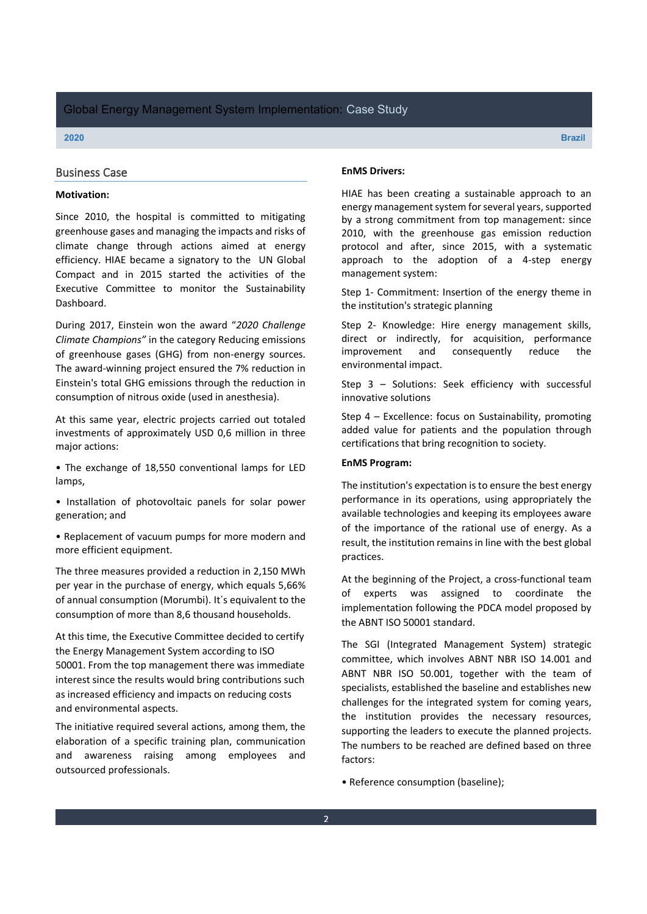### Business Case

# **Motivation:**

Since 2010, the hospital is committed to mitigating greenhouse gases and managing the impacts and risks of climate change through actions aimed at energy efficiency. HIAE became a signatory to the UN Global Compact and in 2015 started the activities of the Executive Committee to monitor the Sustainability Dashboard.

During 2017, Einstein won the award "2020 Challenge *Climate Champions"* in the category Reducing emissions of greenhouse gases (GHG) from non-energy sources. The award-winning project ensured the 7% reduction in Einstein's total GHG emissions through the reduction in consumption of nitrous oxide (used in anesthesia).

At this same year, electric projects carried out totaled investments of approximately USD 0,6 million in three major actions:

• The exchange of 18,550 conventional lamps for LED lamps,

• Installation of photovoltaic panels for solar power generation; and

• Replacement of vacuum pumps for more modern and more efficient equipment.

The three measures provided a reduction in 2,150 MWh per year in the purchase of energy, which equals 5,66% of annual consumption (Morumbi). It´s equivalent to the consumption of more than 8,6 thousand households.

At this time, the Executive Committee decided to certify the Energy Management System according to ISO 50001. From the top management there was immediate interest since the results would bring contributions such as increased efficiency and impacts on reducing costs and environmental aspects.

The initiative required several actions, among them, the elaboration of a specific training plan, communication and awareness raising among employees and outsourced professionals.

#### **EnMS Drivers:**

HIAE has been creating a sustainable approach to an energy management system for several years, supported by a strong commitment from top management: since 2010, with the greenhouse gas emission reduction protocol and after, since 2015, with a systematic approach to the adoption of a 4-step energy management system:

Step 1- Commitment: Insertion of the energy theme in the institution's strategic planning

Step 2- Knowledge: Hire energy management skills, direct or indirectly, for acquisition, performance improvement and consequently reduce the environmental impact.

Step  $3$  – Solutions: Seek efficiency with successful innovative solutions

Step  $4$  – Excellence: focus on Sustainability, promoting added value for patients and the population through certifications that bring recognition to society.

### **EnMS Program:**

The institution's expectation is to ensure the best energy performance in its operations, using appropriately the available technologies and keeping its employees aware of the importance of the rational use of energy. As a result, the institution remains in line with the best global practices.

At the beginning of the Project, a cross-functional team experts was assigned to coordinate the implementation following the PDCA model proposed by the ABNT ISO 50001 standard.

The SGI (Integrated Management System) strategic committee, which involves ABNT NBR ISO 14.001 and ABNT NBR ISO 50.001, together with the team of specialists, established the baseline and establishes new challenges for the integrated system for coming years, the institution provides the necessary resources, supporting the leaders to execute the planned projects. The numbers to be reached are defined based on three factors:

• Reference consumption (baseline);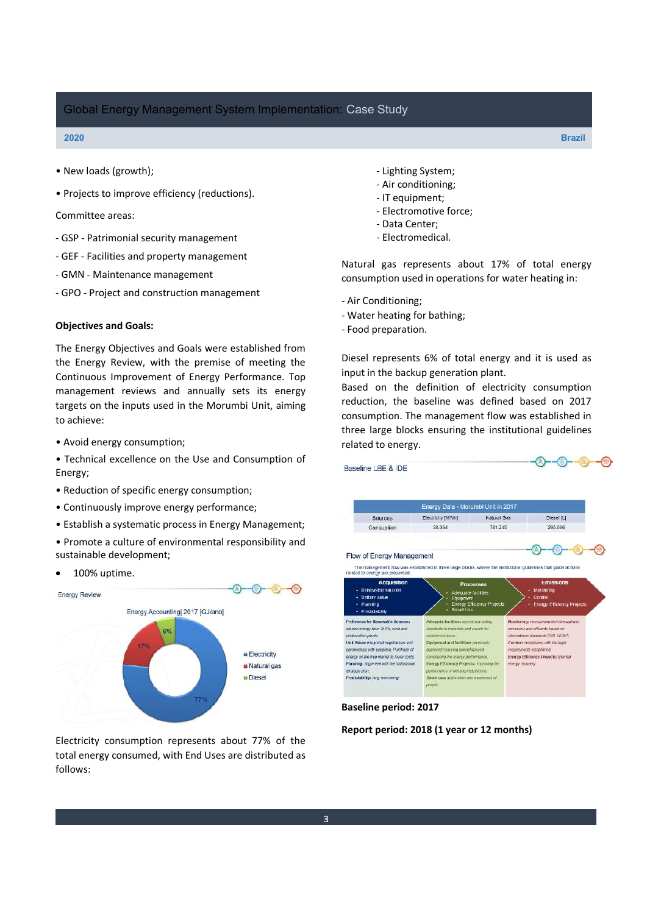#### **2020 Brazil**

- New loads (growth);
- Projects to improve efficiency (reductions).

Committee areas:

- GSP Patrimonial security management
- GEF Facilities and property management
- GMN Maintenance management
- GPO Project and construction management

# **Objectives and Goals:**

The Energy Objectives and Goals were established from the Energy Review, with the premise of meeting the Continuous Improvement of Energy Performance. Top management reviews and annually sets its energy targets on the inputs used in the Morumbi Unit, aiming to achieve:

- Avoid energy consumption;
- Technical excellence on the Use and Consumption of Energy;
- Reduction of specific energy consumption;
- Continuously improve energy performance;
- Establish a systematic process in Energy Management;
- Promote a culture of environmental responsibility and sustainable development;
- 100% uptime.



Electricity consumption represents about 77% of the total energy consumed, with End Uses are distributed as follows:

- Lighting System;
- Air conditioning;
- IT equipment;
- Electromotive force;
- Data Center;
- Electromedical.

Natural gas represents about 17% of total energy consumption used in operations for water heating in:

- Air Conditioning;

- Water heating for bathing;
- Food preparation.

Diesel represents 6% of total energy and it is used as input in the backup generation plant.

Based on the definition of electricity consumption reduction, the baseline was defined based on 2017 consumption. The management flow was established in three large blocks ensuring the institutional guidelines related to energy.

|                                                               | Energy Data - Morumbi Unit in 2017      |                                   |                                                                                                                  |
|---------------------------------------------------------------|-----------------------------------------|-----------------------------------|------------------------------------------------------------------------------------------------------------------|
| Sources                                                       | Electricity [MWh]                       | Natural Gas                       | Diesel [L]                                                                                                       |
| Consuption                                                    | 38.054                                  | 781,245                           | 295.086                                                                                                          |
| Flow of Energy Management<br>related to energy are presented. |                                         |                                   | The management flow was established in three large blocks, where the institutional guidelines that guide actions |
| <b>Acquisition</b><br>· Renewable sources<br>- Unitary value  | <b>Adequate facilities</b><br>Equipment | <b>Processes</b>                  | <b>Emissions</b><br>Monitoring<br>Control                                                                        |
| - Planning<br>- Predictability                                | Smart Use                               | <b>Energy Efficiency Projects</b> | <b>Energy Efficiency Projects</b>                                                                                |

**Baseline period: 2017**

**Report period: 2018 (1 year or 12 months)**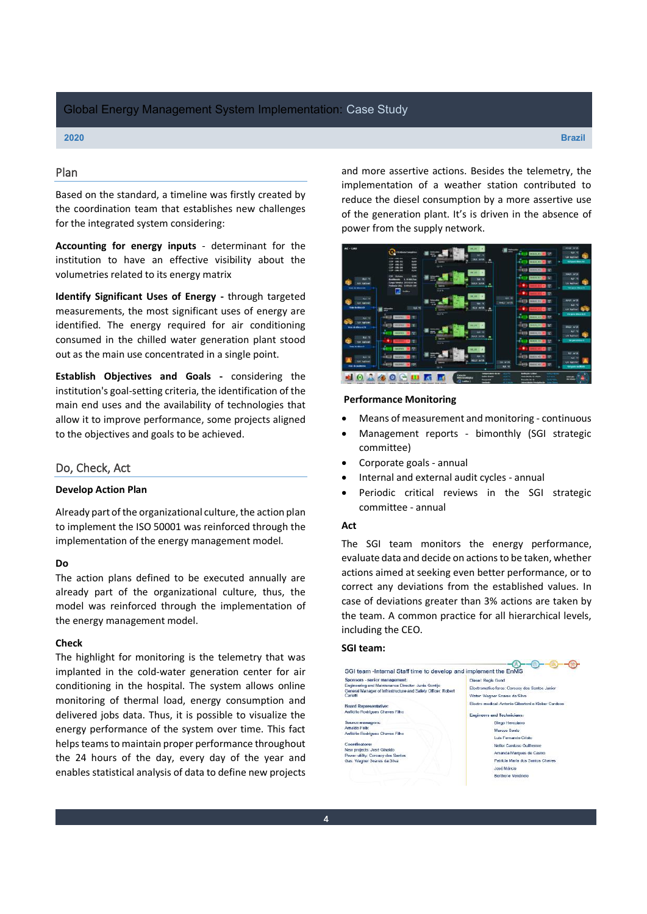# Plan

Based on the standard, a timeline was firstly created by the coordination team that establishes new challenges for the integrated system considering:

**Accounting for energy inputs** - determinant for the institution to have an effective visibility about the volumetries related to its energy matrix

**Identify Significant Uses of Energy -** through targeted measurements, the most significant uses of energy are identified. The energy required for air conditioning consumed in the chilled water generation plant stood out as the main use concentrated in a single point.

**Establish Objectives and Goals -** considering the institution's goal-setting criteria, the identification of the main end uses and the availability of technologies that allow it to improve performance, some projects aligned to the objectives and goals to be achieved.

### Do, Check, Act

#### **Develop Action Plan**

Already part of the organizational culture, the action plan to implement the ISO 50001 was reinforced through the implementation of the energy management model.

#### **Do**

The action plans defined to be executed annually are already part of the organizational culture, thus, the model was reinforced through the implementation of the energy management model.

#### **Check**

The highlight for monitoring is the telemetry that was implanted in the cold-water generation center for air conditioning in the hospital. The system allows online monitoring of thermal load, energy consumption and delivered jobs data. Thus, it is possible to visualize the energy performance of the system over time. This fact helps teams to maintain proper performance throughout the 24 hours of the day, every day of the year and enables statistical analysis of data to define new projects

and more assertive actions. Besides the telemetry, the implementation of a weather station contributed to reduce the diesel consumption by a more assertive use of the generation plant. It's is driven in the absence of power from the supply network.



# **Performance Monitoring**

- Means of measurement and monitoring continuous
- Management reports bimonthly (SGI strategic committee)
- Corporate goals annual
- x Internal and external audit cycles annual
- Periodic critical reviews in the SGI strategic committee - annual

#### **Act**

The SGI team monitors the energy performance, evaluate data and decide on actions to be taken, whether actions aimed at seeking even better performance, or to correct any deviations from the established values. In case of deviations greater than 3% actions are taken by the team. A common practice for all hierarchical levels, including the CEO.

#### **SGI team:**

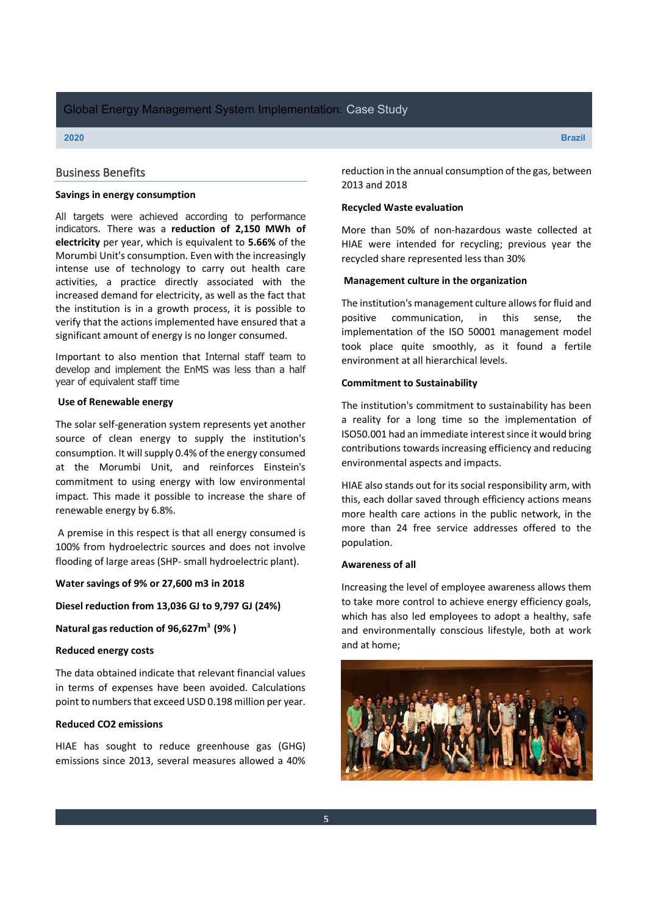# Business Benefits

#### **Savings in energy consumption**

All targets were achieved according to performance indicators. There was a **reduction of 2,150 MWh of electricity** per year, which is equivalent to **5.66%** of the Morumbi Unit's consumption. Even with the increasingly intense use of technology to carry out health care activities, a practice directly associated with the increased demand for electricity, as well as the fact that the institution is in a growth process, it is possible to verify that the actions implemented have ensured that a significant amount of energy is no longer consumed.

Important to also mention that Internal staff team to develop and implement the EnMS was less than a half year of equivalent staff time

#### **Use of Renewable energy**

The solar self-generation system represents yet another source of clean energy to supply the institution's consumption. It will supply 0.4% of the energy consumed at the Morumbi Unit, and reinforces Einstein's commitment to using energy with low environmental impact. This made it possible to increase the share of renewable energy by 6.8%.

A premise in this respect is that all energy consumed is 100% from hydroelectric sources and does not involve flooding of large areas (SHP- small hydroelectric plant).

**Water savings of 9% or 27,600 m3 in 2018**

**Diesel reduction from 13,036 GJ to 9,797 GJ (24%)**

**Natural gas reduction of 96,627m3 (9% )**

#### **Reduced energy costs**

The data obtained indicate that relevant financial values in terms of expenses have been avoided. Calculations point to numbers that exceed USD 0.198 million per year.

#### **Reduced CO2 emissions**

HIAE has sought to reduce greenhouse gas (GHG) emissions since 2013, several measures allowed a 40% reduction in the annual consumption of the gas, between 2013 and 2018

#### **Recycled Waste evaluation**

More than 50% of non-hazardous waste collected at HIAE were intended for recycling; previous year the recycled share represented less than 30%

#### **Management culture in the organization**

The institution's management culture allows for fluid and positive communication, in this sense, the implementation of the ISO 50001 management model took place quite smoothly, as it found a fertile environment at all hierarchical levels.

#### **Commitment to Sustainability**

The institution's commitment to sustainability has been a reality for a long time so the implementation of ISO50.001 had an immediate interest since it would bring contributions towards increasing efficiency and reducing environmental aspects and impacts.

HIAE also stands out for its social responsibility arm, with this, each dollar saved through efficiency actions means more health care actions in the public network, in the more than 24 free service addresses offered to the population.

#### **Awareness of all**

Increasing the level of employee awareness allows them to take more control to achieve energy efficiency goals, which has also led employees to adopt a healthy, safe and environmentally conscious lifestyle, both at work and at home;